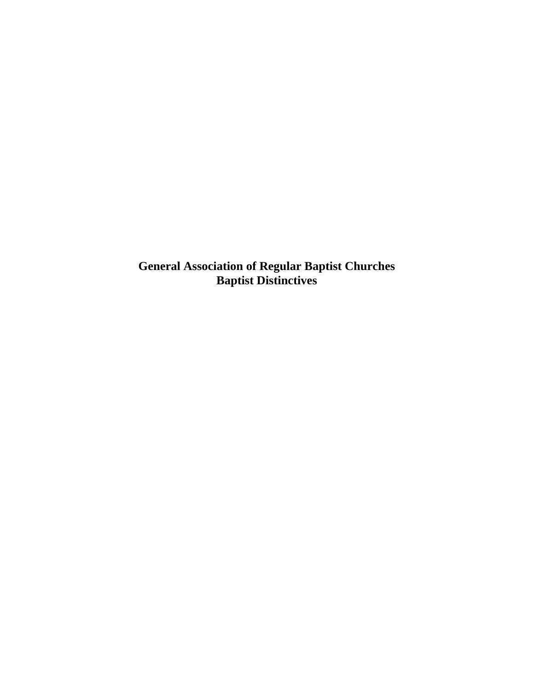**General Association of Regular Baptist Churches Baptist Distinctives**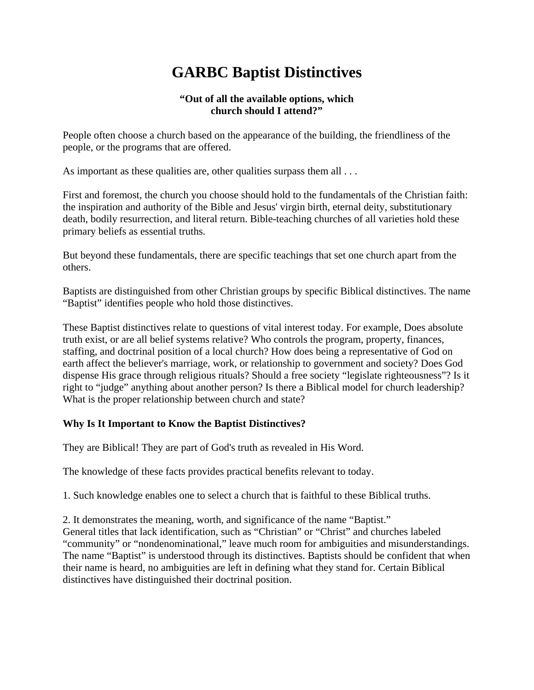# **GARBC Baptist Distinctives**

#### **"Out of all the available options, which church should I attend?"**

People often choose a church based on the appearance of the building, the friendliness of the people, or the programs that are offered.

As important as these qualities are, other qualities surpass them all . . .

First and foremost, the church you choose should hold to the fundamentals of the Christian faith: the inspiration and authority of the Bible and Jesus' virgin birth, eternal deity, substitutionary death, bodily resurrection, and literal return. Bible-teaching churches of all varieties hold these primary beliefs as essential truths.

But beyond these fundamentals, there are specific teachings that set one church apart from the others.

Baptists are distinguished from other Christian groups by specific Biblical distinctives. The name "Baptist" identifies people who hold those distinctives.

These Baptist distinctives relate to questions of vital interest today. For example, Does absolute truth exist, or are all belief systems relative? Who controls the program, property, finances, staffing, and doctrinal position of a local church? How does being a representative of God on earth affect the believer's marriage, work, or relationship to government and society? Does God dispense His grace through religious rituals? Should a free society "legislate righteousness"? Is it right to "judge" anything about another person? Is there a Biblical model for church leadership? What is the proper relationship between church and state?

## **Why Is It Important to Know the Baptist Distinctives?**

They are Biblical! They are part of God's truth as revealed in His Word.

The knowledge of these facts provides practical benefits relevant to today.

1. Such knowledge enables one to select a church that is faithful to these Biblical truths.

2. It demonstrates the meaning, worth, and significance of the name "Baptist." General titles that lack identification, such as "Christian" or "Christ" and churches labeled "community" or "nondenominational," leave much room for ambiguities and misunderstandings. The name "Baptist" is understood through its distinctives. Baptists should be confident that when

their name is heard, no ambiguities are left in defining what they stand for. Certain Biblical distinctives have distinguished their doctrinal position.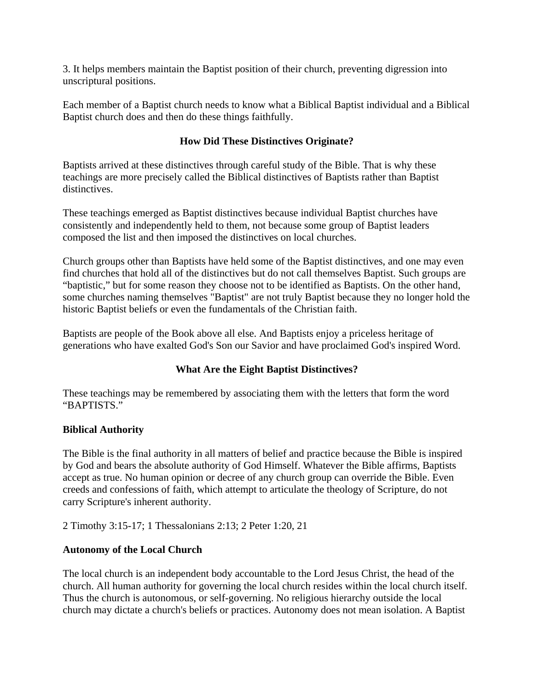3. It helps members maintain the Baptist position of their church, preventing digression into unscriptural positions.

Each member of a Baptist church needs to know what a Biblical Baptist individual and a Biblical Baptist church does and then do these things faithfully.

# **How Did These Distinctives Originate?**

Baptists arrived at these distinctives through careful study of the Bible. That is why these teachings are more precisely called the Biblical distinctives of Baptists rather than Baptist distinctives.

These teachings emerged as Baptist distinctives because individual Baptist churches have consistently and independently held to them, not because some group of Baptist leaders composed the list and then imposed the distinctives on local churches.

Church groups other than Baptists have held some of the Baptist distinctives, and one may even find churches that hold all of the distinctives but do not call themselves Baptist. Such groups are "baptistic," but for some reason they choose not to be identified as Baptists. On the other hand, some churches naming themselves "Baptist" are not truly Baptist because they no longer hold the historic Baptist beliefs or even the fundamentals of the Christian faith.

Baptists are people of the Book above all else. And Baptists enjoy a priceless heritage of generations who have exalted God's Son our Savior and have proclaimed God's inspired Word.

# **What Are the Eight Baptist Distinctives?**

These teachings may be remembered by associating them with the letters that form the word "BAPTISTS."

## **Biblical Authority**

The Bible is the final authority in all matters of belief and practice because the Bible is inspired by God and bears the absolute authority of God Himself. Whatever the Bible affirms, Baptists accept as true. No human opinion or decree of any church group can override the Bible. Even creeds and confessions of faith, which attempt to articulate the theology of Scripture, do not carry Scripture's inherent authority.

2 Timothy 3:15-17; 1 Thessalonians 2:13; 2 Peter 1:20, 21

## **Autonomy of the Local Church**

The local church is an independent body accountable to the Lord Jesus Christ, the head of the church. All human authority for governing the local church resides within the local church itself. Thus the church is autonomous, or self-governing. No religious hierarchy outside the local church may dictate a church's beliefs or practices. Autonomy does not mean isolation. A Baptist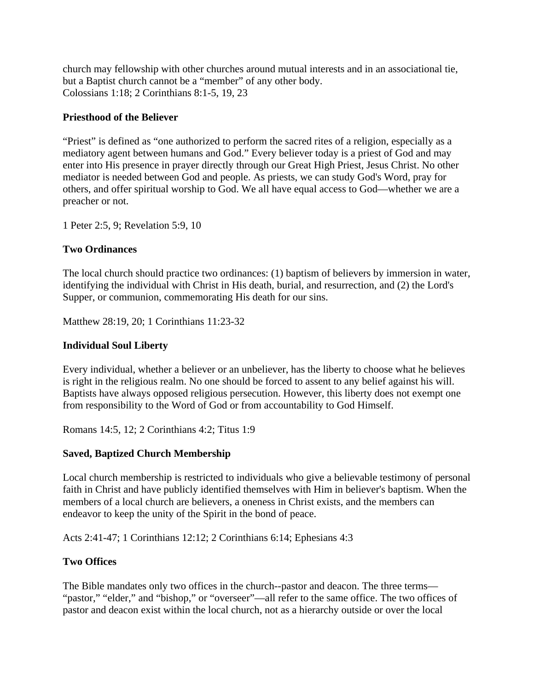church may fellowship with other churches around mutual interests and in an associational tie, but a Baptist church cannot be a "member" of any other body. Colossians 1:18; 2 Corinthians 8:1-5, 19, 23

#### **Priesthood of the Believer**

"Priest" is defined as "one authorized to perform the sacred rites of a religion, especially as a mediatory agent between humans and God." Every believer today is a priest of God and may enter into His presence in prayer directly through our Great High Priest, Jesus Christ. No other mediator is needed between God and people. As priests, we can study God's Word, pray for others, and offer spiritual worship to God. We all have equal access to God—whether we are a preacher or not.

1 Peter 2:5, 9; Revelation 5:9, 10

#### **Two Ordinances**

The local church should practice two ordinances: (1) baptism of believers by immersion in water, identifying the individual with Christ in His death, burial, and resurrection, and (2) the Lord's Supper, or communion, commemorating His death for our sins.

Matthew 28:19, 20; 1 Corinthians 11:23-32

#### **Individual Soul Liberty**

Every individual, whether a believer or an unbeliever, has the liberty to choose what he believes is right in the religious realm. No one should be forced to assent to any belief against his will. Baptists have always opposed religious persecution. However, this liberty does not exempt one from responsibility to the Word of God or from accountability to God Himself.

Romans 14:5, 12; 2 Corinthians 4:2; Titus 1:9

## **Saved, Baptized Church Membership**

Local church membership is restricted to individuals who give a believable testimony of personal faith in Christ and have publicly identified themselves with Him in believer's baptism. When the members of a local church are believers, a oneness in Christ exists, and the members can endeavor to keep the unity of the Spirit in the bond of peace.

Acts 2:41-47; 1 Corinthians 12:12; 2 Corinthians 6:14; Ephesians 4:3

## **Two Offices**

The Bible mandates only two offices in the church--pastor and deacon. The three terms— "pastor," "elder," and "bishop," or "overseer"—all refer to the same office. The two offices of pastor and deacon exist within the local church, not as a hierarchy outside or over the local